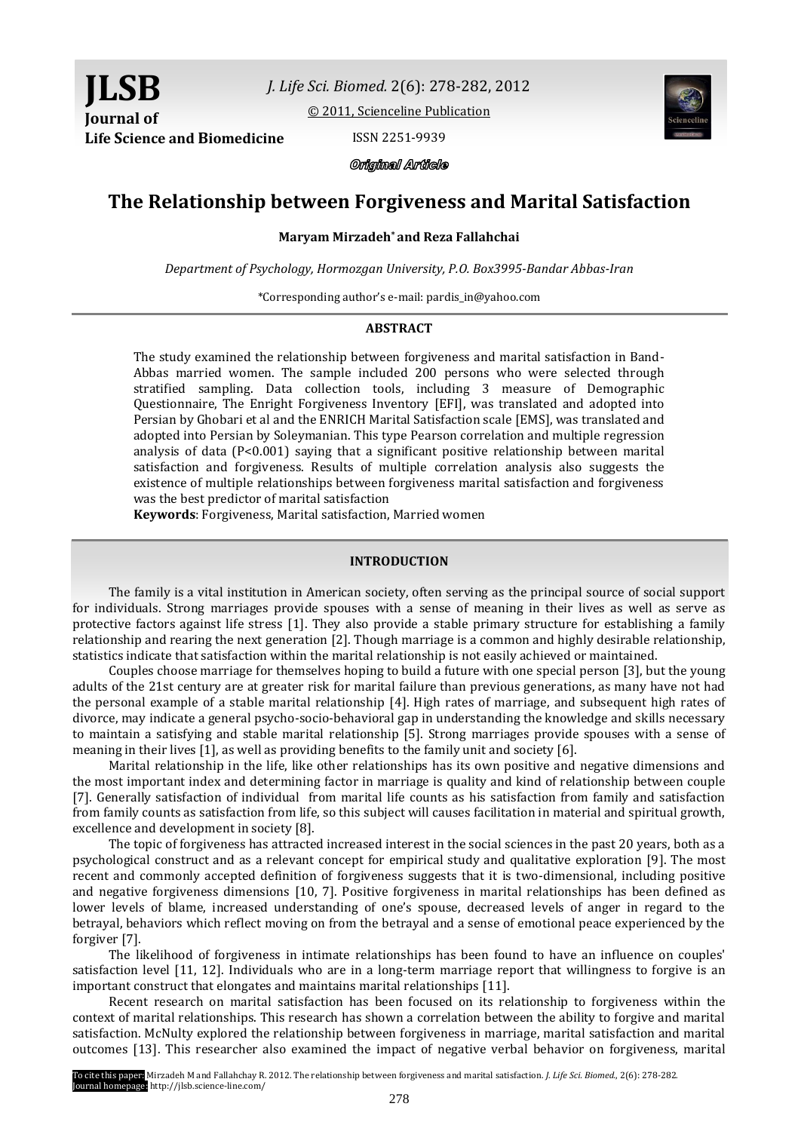**JLSB Journal of** 

*J. Life Sci. Biomed.* 2(6): 278-282, 2012

[© 2011, Scienceline Publication](http://www.science-line.com/index/)

**Life Science and Biomedicine**

ISSN 2251-9939



Original Article

# **The Relationship between Forgiveness and Marital Satisfaction**

# **Maryam Mirzadeh\* and Reza Fallahchai**

*Department of Psychology, Hormozgan University, P.O. Box3995-Bandar Abbas-Iran*

\*Corresponding author's e-mail: pardis\_in@yahoo.com

# **ABSTRACT**

The study examined the relationship between forgiveness and marital satisfaction in Band-Abbas married women. The sample included 200 persons who were selected through stratified sampling. Data collection tools, including 3 measure of Demographic Questionnaire, The Enright Forgiveness Inventory [EFI], was translated and adopted into Persian by Ghobari et al and the ENRICH Marital Satisfaction scale [EMS], was translated and adopted into Persian by Soleymanian. This type Pearson correlation and multiple regression analysis of data (P<0.001) saying that a significant positive relationship between marital satisfaction and forgiveness. Results of multiple correlation analysis also suggests the existence of multiple relationships between forgiveness marital satisfaction and forgiveness was the best predictor of marital satisfaction

**Keywords**: Forgiveness, Marital satisfaction, Married women

#### **INTRODUCTION**

The family is a vital institution in American society, often serving as the principal source of social support for individuals. Strong marriages provide spouses with a sense of meaning in their lives as well as serve as protective factors against life stress [1]. They also provide a stable primary structure for establishing a family relationship and rearing the next generation [2]. Though marriage is a common and highly desirable relationship, statistics indicate that satisfaction within the marital relationship is not easily achieved or maintained.

Couples choose marriage for themselves hoping to build a future with one special person [3], but the young adults of the 21st century are at greater risk for marital failure than previous generations, as many have not had the personal example of a stable marital relationship [4]. High rates of marriage, and subsequent high rates of divorce, may indicate a general psycho-socio-behavioral gap in understanding the knowledge and skills necessary to maintain a satisfying and stable marital relationship [5]. Strong marriages provide spouses with a sense of meaning in their lives [1], as well as providing benefits to the family unit and society [6].

Marital relationship in the life, like other relationships has its own positive and negative dimensions and the most important index and determining factor in marriage is quality and kind of relationship between couple [7]. Generally satisfaction of individual from marital life counts as his satisfaction from family and satisfaction from family counts as satisfaction from life, so this subject will causes facilitation in material and spiritual growth, excellence and development in society [8].

The topic of forgiveness has attracted increased interest in the social sciences in the past 20 years, both as a psychological construct and as a relevant concept for empirical study and qualitative exploration [9]. The most recent and commonly accepted definition of forgiveness suggests that it is two-dimensional, including positive and negative forgiveness dimensions [10, 7]. Positive forgiveness in marital relationships has been defined as lower levels of blame, increased understanding of one's spouse, decreased levels of anger in regard to the betrayal, behaviors which reflect moving on from the betrayal and a sense of emotional peace experienced by the forgiver [7].

The likelihood of forgiveness in intimate relationships has been found to have an influence on couples' satisfaction level [11, 12]. Individuals who are in a long-term marriage report that willingness to forgive is an important construct that elongates and maintains marital relationships [11].

Recent research on marital satisfaction has been focused on its relationship to forgiveness within the context of marital relationships. This research has shown a correlation between the ability to forgive and marital satisfaction. McNulty explored the relationship between forgiveness in marriage, marital satisfaction and marital outcomes [13]. This researcher also examined the impact of negative verbal behavior on forgiveness, marital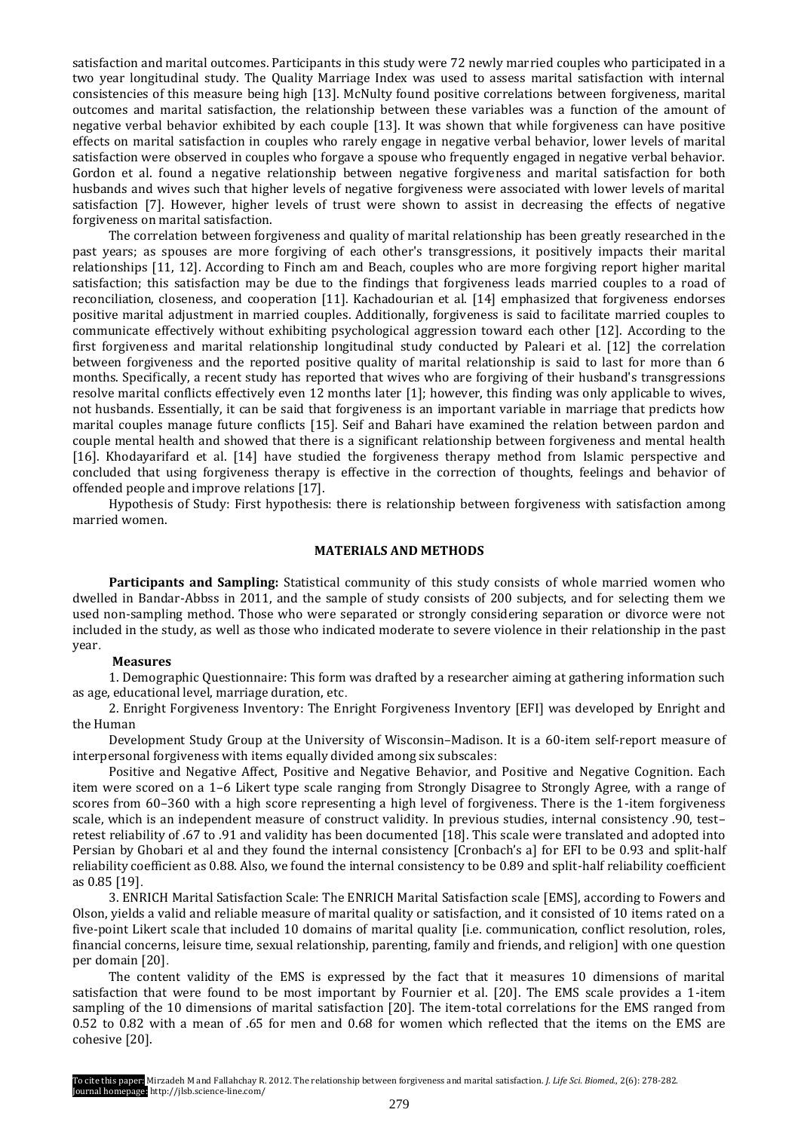satisfaction and marital outcomes. Participants in this study were 72 newly married couples who participated in a two year longitudinal study. The Quality Marriage Index was used to assess marital satisfaction with internal consistencies of this measure being high [13]. McNulty found positive correlations between forgiveness, marital outcomes and marital satisfaction, the relationship between these variables was a function of the amount of negative verbal behavior exhibited by each couple [13]. It was shown that while forgiveness can have positive effects on marital satisfaction in couples who rarely engage in negative verbal behavior, lower levels of marital satisfaction were observed in couples who forgave a spouse who frequently engaged in negative verbal behavior. Gordon et al. found a negative relationship between negative forgiveness and marital satisfaction for both husbands and wives such that higher levels of negative forgiveness were associated with lower levels of marital satisfaction [7]. However, higher levels of trust were shown to assist in decreasing the effects of negative forgiveness on marital satisfaction.

The correlation between forgiveness and quality of marital relationship has been greatly researched in the past years; as spouses are more forgiving of each other's transgressions, it positively impacts their marital relationships [11, 12]. According to Finch am and Beach, couples who are more forgiving report higher marital satisfaction; this satisfaction may be due to the findings that forgiveness leads married couples to a road of reconciliation, closeness, and cooperation [11]. Kachadourian et al. [14] emphasized that forgiveness endorses positive marital adjustment in married couples. Additionally, forgiveness is said to facilitate married couples to communicate effectively without exhibiting psychological aggression toward each other [12]. According to the first forgiveness and marital relationship longitudinal study conducted by Paleari et al. [12] the correlation between forgiveness and the reported positive quality of marital relationship is said to last for more than 6 months. Specifically, a recent study has reported that wives who are forgiving of their husband's transgressions resolve marital conflicts effectively even 12 months later [1]; however, this finding was only applicable to wives, not husbands. Essentially, it can be said that forgiveness is an important variable in marriage that predicts how marital couples manage future conflicts [15]. Seif and Bahari have examined the relation between pardon and couple mental health and showed that there is a significant relationship between forgiveness and mental health [16]. Khodayarifard et al. [14] have studied the forgiveness therapy method from Islamic perspective and concluded that using forgiveness therapy is effective in the correction of thoughts, feelings and behavior of offended people and improve relations [17].

Hypothesis of Study: First hypothesis: there is relationship between forgiveness with satisfaction among married women.

## **MATERIALS AND METHODS**

**Participants and Sampling:** Statistical community of this study consists of whole married women who dwelled in Bandar-Abbss in 2011, and the sample of study consists of 200 subjects, and for selecting them we used non-sampling method. Those who were separated or strongly considering separation or divorce were not included in the study, as well as those who indicated moderate to severe violence in their relationship in the past year.

#### **Measures**

1. Demographic Questionnaire: This form was drafted by a researcher aiming at gathering information such as age, educational level, marriage duration, etc.

2. Enright Forgiveness Inventory: The Enright Forgiveness Inventory [EFI] was developed by Enright and the Human

Development Study Group at the University of Wisconsin–Madison. It is a 60-item self-report measure of interpersonal forgiveness with items equally divided among six subscales:

Positive and Negative Affect, Positive and Negative Behavior, and Positive and Negative Cognition. Each item were scored on a 1–6 Likert type scale ranging from Strongly Disagree to Strongly Agree, with a range of scores from 60–360 with a high score representing a high level of forgiveness. There is the 1-item forgiveness scale, which is an independent measure of construct validity. In previous studies, internal consistency .90, test– retest reliability of .67 to .91 and validity has been documented [18]. This scale were translated and adopted into Persian by Ghobari et al and they found the internal consistency [Cronbach's a] for EFI to be 0.93 and split-half reliability coefficient as 0.88. Also, we found the internal consistency to be 0.89 and split-half reliability coefficient as 0.85 [19].

3. ENRICH Marital Satisfaction Scale: The ENRICH Marital Satisfaction scale [EMS], according to Fowers and Olson, yields a valid and reliable measure of marital quality or satisfaction, and it consisted of 10 items rated on a five-point Likert scale that included 10 domains of marital quality [i.e. communication, conflict resolution, roles, financial concerns, leisure time, sexual relationship, parenting, family and friends, and religion] with one question per domain [20].

The content validity of the EMS is expressed by the fact that it measures 10 dimensions of marital satisfaction that were found to be most important by Fournier et al. [20]. The EMS scale provides a 1-item sampling of the 10 dimensions of marital satisfaction [20]. The item-total correlations for the EMS ranged from 0.52 to 0.82 with a mean of .65 for men and 0.68 for women which reflected that the items on the EMS are cohesive [20].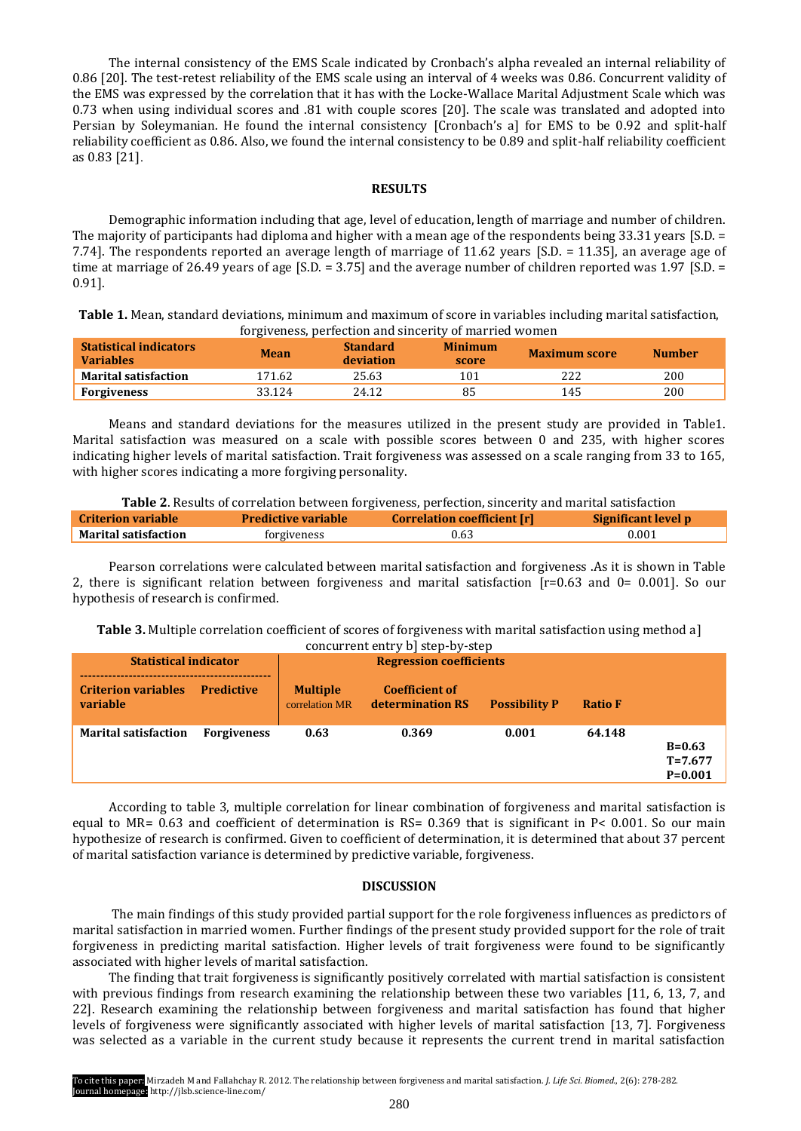The internal consistency of the EMS Scale indicated by Cronbach's alpha revealed an internal reliability of 0.86 [20]. The test-retest reliability of the EMS scale using an interval of 4 weeks was 0.86. Concurrent validity of the EMS was expressed by the correlation that it has with the Locke-Wallace Marital Adjustment Scale which was 0.73 when using individual scores and .81 with couple scores [20]. The scale was translated and adopted into Persian by Soleymanian. He found the internal consistency [Cronbach's a] for EMS to be 0.92 and split-half reliability coefficient as 0.86. Also, we found the internal consistency to be 0.89 and split-half reliability coefficient as 0.83 [21].

# **RESULTS**

Demographic information including that age, level of education, length of marriage and number of children. The majority of participants had diploma and higher with a mean age of the respondents being 33.31 years [S.D. = 7.74]. The respondents reported an average length of marriage of 11.62 years [S.D. = 11.35], an average age of time at marriage of 26.49 years of age [S.D. = 3.75] and the average number of children reported was 1.97 [S.D. = 0.91].

**Table 1.** Mean, standard deviations, minimum and maximum of score in variables including marital satisfaction, forgiveness, perfection and sincerity of married women

| <b>Statistical indicators</b><br><b>Variables</b> | <b>Mean</b> | <b>Standard</b><br>deviation | <b>Minimum</b><br>score | <b>Maximum score</b> | <b>Number</b> |
|---------------------------------------------------|-------------|------------------------------|-------------------------|----------------------|---------------|
| <b>Marital satisfaction</b>                       | 171.62      | 25.63                        | 101                     | 222                  | 200           |
| <b>Forgiveness</b>                                | 33.124      | 24.12                        | 85                      | 145                  | 200           |

Means and standard deviations for the measures utilized in the present study are provided in Table1. Marital satisfaction was measured on a scale with possible scores between 0 and 235, with higher scores indicating higher levels of marital satisfaction. Trait forgiveness was assessed on a scale ranging from 33 to 165, with higher scores indicating a more forgiving personality.

| Table 2. Results of correlation between forgiveness, perfection, sincerity and marital satisfaction |                            |                                    |                     |  |  |  |  |
|-----------------------------------------------------------------------------------------------------|----------------------------|------------------------------------|---------------------|--|--|--|--|
| <b>Criterion variable</b>                                                                           | <b>Predictive variable</b> | <b>Correlation coefficient [r]</b> | Significant level p |  |  |  |  |
| Marital satisfaction                                                                                | forgiveness                | 0.63                               | 0.001               |  |  |  |  |

Pearson correlations were calculated between marital satisfaction and forgiveness .As it is shown in Table 2, there is significant relation between forgiveness and marital satisfaction [r=0.63 and 0= 0.001]. So our hypothesis of research is confirmed.

**Table 3.** Multiple correlation coefficient of scores of forgiveness with marital satisfaction using method a]

| concurrent entry b] step-by-step       |                    |                                   |                                           |                      |                |                                        |  |  |
|----------------------------------------|--------------------|-----------------------------------|-------------------------------------------|----------------------|----------------|----------------------------------------|--|--|
| <b>Statistical indicator</b>           |                    | <b>Regression coefficients</b>    |                                           |                      |                |                                        |  |  |
| <b>Criterion variables</b><br>variable | <b>Predictive</b>  | <b>Multiple</b><br>correlation MR | <b>Coefficient of</b><br>determination RS | <b>Possibility P</b> | <b>Ratio F</b> |                                        |  |  |
| <b>Marital satisfaction</b>            | <b>Forgiveness</b> | 0.63                              | 0.369                                     | 0.001                | 64.148         | $B=0.63$<br>$T = 7.677$<br>$P = 0.001$ |  |  |

According to table 3, multiple correlation for linear combination of forgiveness and marital satisfaction is equal to MR= 0.63 and coefficient of determination is RS= 0.369 that is significant in P< 0.001. So our main hypothesize of research is confirmed. Given to coefficient of determination, it is determined that about 37 percent of marital satisfaction variance is determined by predictive variable, forgiveness.

## **DISCUSSION**

The main findings of this study provided partial support for the role forgiveness influences as predictors of marital satisfaction in married women. Further findings of the present study provided support for the role of trait forgiveness in predicting marital satisfaction. Higher levels of trait forgiveness were found to be significantly associated with higher levels of marital satisfaction.

The finding that trait forgiveness is significantly positively correlated with martial satisfaction is consistent with previous findings from research examining the relationship between these two variables [11, 6, 13, 7, and 22]. Research examining the relationship between forgiveness and marital satisfaction has found that higher levels of forgiveness were significantly associated with higher levels of marital satisfaction [13, 7]. Forgiveness was selected as a variable in the current study because it represents the current trend in marital satisfaction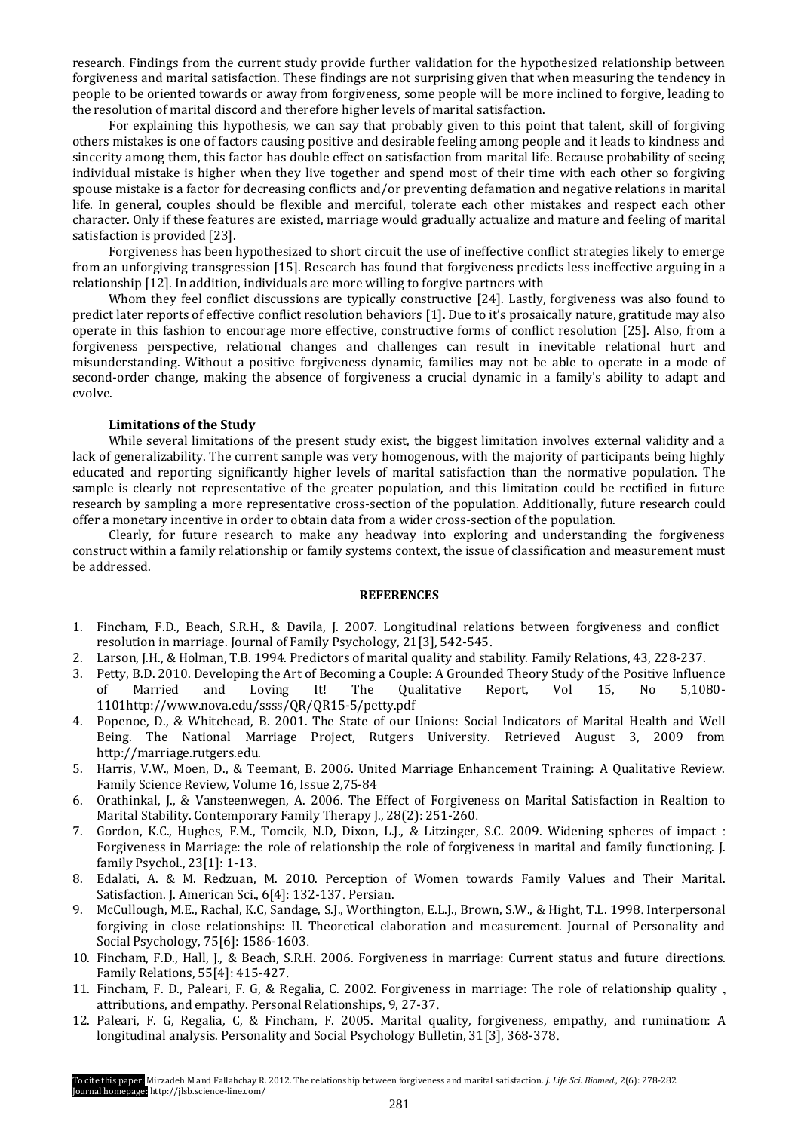research. Findings from the current study provide further validation for the hypothesized relationship between forgiveness and marital satisfaction. These findings are not surprising given that when measuring the tendency in people to be oriented towards or away from forgiveness, some people will be more inclined to forgive, leading to the resolution of marital discord and therefore higher levels of marital satisfaction.

For explaining this hypothesis, we can say that probably given to this point that talent, skill of forgiving others mistakes is one of factors causing positive and desirable feeling among people and it leads to kindness and sincerity among them, this factor has double effect on satisfaction from marital life. Because probability of seeing individual mistake is higher when they live together and spend most of their time with each other so forgiving spouse mistake is a factor for decreasing conflicts and/or preventing defamation and negative relations in marital life. In general, couples should be flexible and merciful, tolerate each other mistakes and respect each other character. Only if these features are existed, marriage would gradually actualize and mature and feeling of marital satisfaction is provided [23].

Forgiveness has been hypothesized to short circuit the use of ineffective conflict strategies likely to emerge from an unforgiving transgression [15]. Research has found that forgiveness predicts less ineffective arguing in a relationship [12]. In addition, individuals are more willing to forgive partners with

Whom they feel conflict discussions are typically constructive [24]. Lastly, forgiveness was also found to predict later reports of effective conflict resolution behaviors [1]. Due to it's prosaically nature, gratitude may also operate in this fashion to encourage more effective, constructive forms of conflict resolution [25]. Also, from a forgiveness perspective, relational changes and challenges can result in inevitable relational hurt and misunderstanding. Without a positive forgiveness dynamic, families may not be able to operate in a mode of second-order change, making the absence of forgiveness a crucial dynamic in a family's ability to adapt and evolve.

## **Limitations of the Study**

While several limitations of the present study exist, the biggest limitation involves external validity and a lack of generalizability. The current sample was very homogenous, with the majority of participants being highly educated and reporting significantly higher levels of marital satisfaction than the normative population. The sample is clearly not representative of the greater population, and this limitation could be rectified in future research by sampling a more representative cross-section of the population. Additionally, future research could offer a monetary incentive in order to obtain data from a wider cross-section of the population.

Clearly, for future research to make any headway into exploring and understanding the forgiveness construct within a family relationship or family systems context, the issue of classification and measurement must be addressed.

# **REFERENCES**

- 1. Fincham, F.D., Beach, S.R.H., & Davila, J. 2007. Longitudinal relations between forgiveness and conflict resolution in marriage. Journal of Family Psychology, 21[3], 542-545.
- 2. Larson, J.H., & Holman, T.B. 1994. Predictors of marital quality and stability. Family Relations, 43, 228-237.
- 3. Petty, B.D. 2010. Developing the Art of Becoming a Couple: A Grounded Theory Study of the Positive Influence of Married and Loving It! The Qualitative Report, Vol 15, No 5,1080- 1101http://www.nova.edu/ssss/QR/QR15-5/petty.pdf
- 4. Popenoe, D., & Whitehead, B. 2001. The State of our Unions: Social Indicators of Marital Health and Well Being. The National Marriage Project, Rutgers University. Retrieved August 3, 2009 from http://marriage.rutgers.edu.
- 5. Harris, V.W., Moen, D., & Teemant, B. 2006. United Marriage Enhancement Training: A Qualitative Review. Family Science Review, Volume 16, Issue 2,75-84
- 6. Orathinkal, J., & Vansteenwegen, A. 2006. The Effect of Forgiveness on Marital Satisfaction in Realtion to Marital Stability. Contemporary Family Therapy J., 28(2): 251-260.
- 7. Gordon, K.C., Hughes, F.M., Tomcik, N.D, Dixon, L.J., & Litzinger, S.C. 2009. Widening spheres of impact : Forgiveness in Marriage: the role of relationship the role of forgiveness in marital and family functioning. J. family Psychol., 23[1]: 1-13.
- 8. Edalati, A. & M. Redzuan, M. 2010. Perception of Women towards Family Values and Their Marital. Satisfaction. J. American Sci., 6[4]: 132-137. Persian.
- 9. McCullough, M.E., Rachal, K.C, Sandage, S.J., Worthington, E.L.J., Brown, S.W., & Hight, T.L. 1998. Interpersonal forgiving in close relationships: II. Theoretical elaboration and measurement. Journal of Personality and Social Psychology, 75[6]: 1586-1603.
- 10. Fincham, F.D., Hall, J., & Beach, S.R.H. 2006. Forgiveness in marriage: Current status and future directions. Family Relations, 55[4]: 415-427.
- 11. Fincham, F. D., Paleari, F. G, & Regalia, C. 2002. Forgiveness in marriage: The role of relationship quality , attributions, and empathy. Personal Relationships, 9, 27-37.
- 12. Paleari, F. G, Regalia, C, & Fincham, F. 2005. Marital quality, forgiveness, empathy, and rumination: A longitudinal analysis. Personality and Social Psychology Bulletin, 31[3], 368-378.